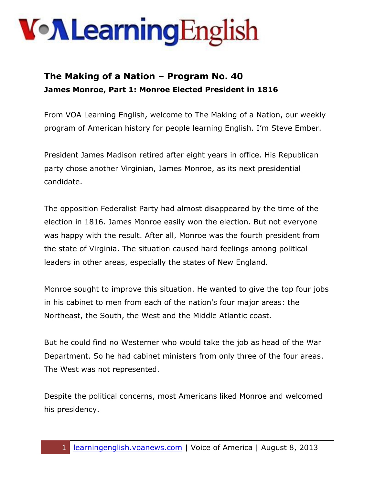#### **The Making of a Nation – Program No. 40 James Monroe, Part 1: Monroe Elected President in 1816**

From VOA Learning English, welcome to The Making of a Nation, our weekly program of American history for people learning English. I'm Steve Ember.

President James Madison retired after eight years in office. His Republican party chose another Virginian, James Monroe, as its next presidential candidate.

The opposition Federalist Party had almost disappeared by the time of the election in 1816. James Monroe easily won the election. But not everyone was happy with the result. After all, Monroe was the fourth president from the state of Virginia. The situation caused hard feelings among political leaders in other areas, especially the states of New England.

Monroe sought to improve this situation. He wanted to give the top four jobs in his cabinet to men from each of the nation's four major areas: the Northeast, the South, the West and the Middle Atlantic coast.

But he could find no Westerner who would take the job as head of the War Department. So he had cabinet ministers from only three of the four areas. The West was not represented.

Despite the political concerns, most Americans liked Monroe and welcomed his presidency.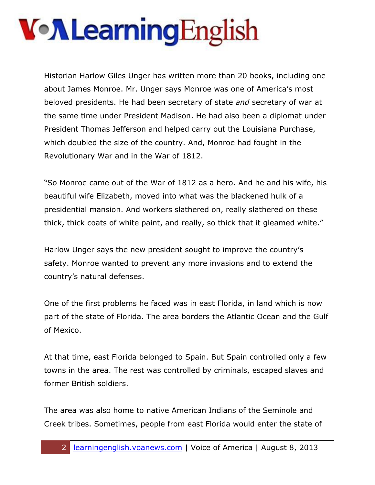Historian Harlow Giles Unger has written more than 20 books, including one about James Monroe. Mr. Unger says Monroe was one of America's most beloved presidents. He had been secretary of state *and* secretary of war at the same time under President Madison. He had also been a diplomat under President Thomas Jefferson and helped carry out the Louisiana Purchase, which doubled the size of the country. And, Monroe had fought in the Revolutionary War and in the War of 1812.

"So Monroe came out of the War of 1812 as a hero. And he and his wife, his beautiful wife Elizabeth, moved into what was the blackened hulk of a presidential mansion. And workers slathered on, really slathered on these thick, thick coats of white paint, and really, so thick that it gleamed white."

Harlow Unger says the new president sought to improve the country's safety. Monroe wanted to prevent any more invasions and to extend the country's natural defenses.

One of the first problems he faced was in east Florida, in land which is now part of the state of Florida. The area borders the Atlantic Ocean and the Gulf of Mexico.

At that time, east Florida belonged to Spain. But Spain controlled only a few towns in the area. The rest was controlled by criminals, escaped slaves and former British soldiers.

The area was also home to native American Indians of the Seminole and Creek tribes. Sometimes, people from east Florida would enter the state of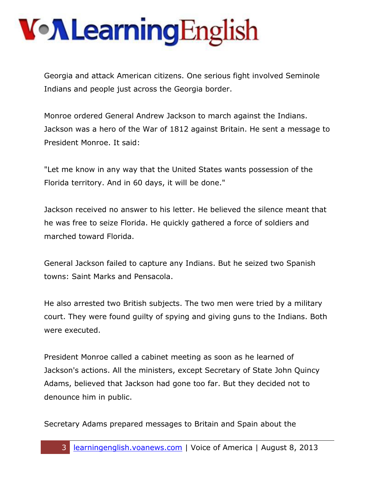Georgia and attack American citizens. One serious fight involved Seminole Indians and people just across the Georgia border.

Monroe ordered General Andrew Jackson to march against the Indians. Jackson was a hero of the War of 1812 against Britain. He sent a message to President Monroe. It said:

"Let me know in any way that the United States wants possession of the Florida territory. And in 60 days, it will be done."

Jackson received no answer to his letter. He believed the silence meant that he was free to seize Florida. He quickly gathered a force of soldiers and marched toward Florida.

General Jackson failed to capture any Indians. But he seized two Spanish towns: Saint Marks and Pensacola.

He also arrested two British subjects. The two men were tried by a military court. They were found guilty of spying and giving guns to the Indians. Both were executed.

President Monroe called a cabinet meeting as soon as he learned of Jackson's actions. All the ministers, except Secretary of State John Quincy Adams, believed that Jackson had gone too far. But they decided not to denounce him in public.

Secretary Adams prepared messages to Britain and Spain about the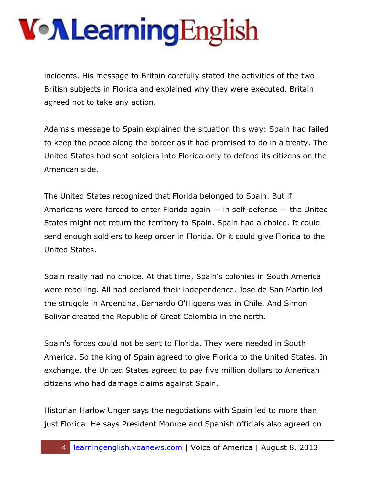incidents. His message to Britain carefully stated the activities of the two British subjects in Florida and explained why they were executed. Britain agreed not to take any action.

Adams's message to Spain explained the situation this way: Spain had failed to keep the peace along the border as it had promised to do in a treaty. The United States had sent soldiers into Florida only to defend its citizens on the American side.

The United States recognized that Florida belonged to Spain. But if Americans were forced to enter Florida again  $-$  in self-defense  $-$  the United States might not return the territory to Spain. Spain had a choice. It could send enough soldiers to keep order in Florida. Or it could give Florida to the United States.

Spain really had no choice. At that time, Spain's colonies in South America were rebelling. All had declared their independence. Jose de San Martin led the struggle in Argentina. Bernardo O'Higgens was in Chile. And Simon Bolivar created the Republic of Great Colombia in the north.

Spain's forces could not be sent to Florida. They were needed in South America. So the king of Spain agreed to give Florida to the United States. In exchange, the United States agreed to pay five million dollars to American citizens who had damage claims against Spain.

Historian Harlow Unger says the negotiations with Spain led to more than just Florida. He says President Monroe and Spanish officials also agreed on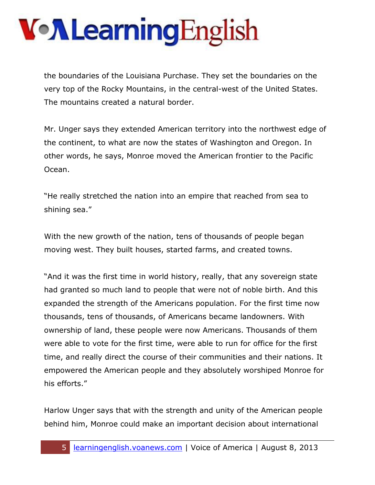the boundaries of the Louisiana Purchase. They set the boundaries on the very top of the Rocky Mountains, in the central-west of the United States. The mountains created a natural border.

Mr. Unger says they extended American territory into the northwest edge of the continent, to what are now the states of Washington and Oregon. In other words, he says, Monroe moved the American frontier to the Pacific Ocean.

"He really stretched the nation into an empire that reached from sea to shining sea."

With the new growth of the nation, tens of thousands of people began moving west. They built houses, started farms, and created towns.

"And it was the first time in world history, really, that any sovereign state had granted so much land to people that were not of noble birth. And this expanded the strength of the Americans population. For the first time now thousands, tens of thousands, of Americans became landowners. With ownership of land, these people were now Americans. Thousands of them were able to vote for the first time, were able to run for office for the first time, and really direct the course of their communities and their nations. It empowered the American people and they absolutely worshiped Monroe for his efforts."

Harlow Unger says that with the strength and unity of the American people behind him, Monroe could make an important decision about international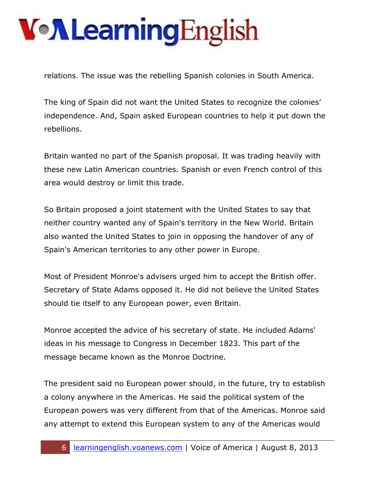relations. The issue was the rebelling Spanish colonies in South America.

The king of Spain did not want the United States to recognize the colonies' independence. And, Spain asked European countries to help it put down the rebellions.

Britain wanted no part of the Spanish proposal. It was trading heavily with these new Latin American countries. Spanish or even French control of this area would destroy or limit this trade.

So Britain proposed a joint statement with the United States to say that neither country wanted any of Spain's territory in the New World. Britain also wanted the United States to join in opposing the handover of any of Spain's American territories to any other power in Europe.

Most of President Monroe's advisers urged him to accept the British offer. Secretary of State Adams opposed it. He did not believe the United States should tie itself to any European power, even Britain.

Monroe accepted the advice of his secretary of state. He included Adams' ideas in his message to Congress in December 1823. This part of the message became known as the Monroe Doctrine.

The president said no European power should, in the future, try to establish a colony anywhere in the Americas. He said the political system of the European powers was very different from that of the Americas. Monroe said any attempt to extend this European system to any of the Americas would